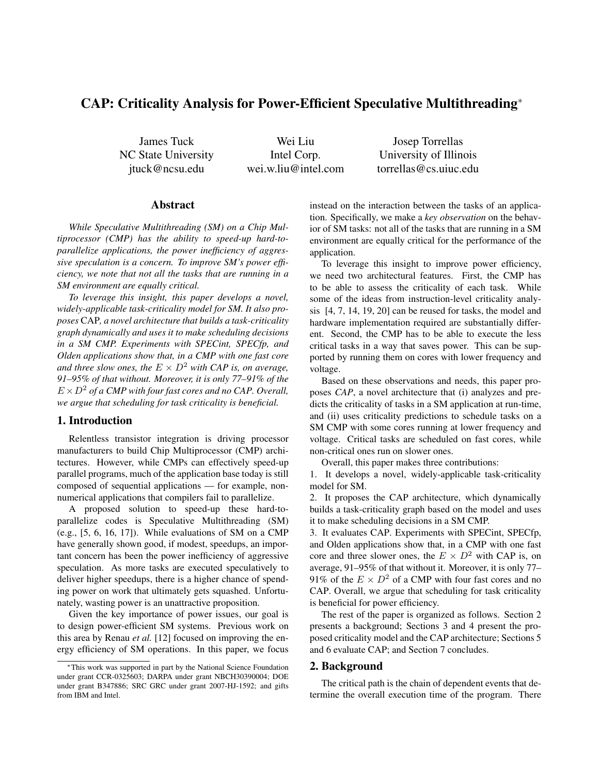# CAP: Criticality Analysis for Power-Efficient Speculative Multithreading<sup>∗</sup>

James Tuck NC State University jtuck@ncsu.edu

Wei Liu Intel Corp. wei.w.liu@intel.com

Josep Torrellas University of Illinois torrellas@cs.uiuc.edu

### Abstract

*While Speculative Multithreading (SM) on a Chip Multiprocessor (CMP) has the ability to speed-up hard-toparallelize applications, the power inefficiency of aggressive speculation is a concern. To improve SM's power efficiency, we note that not all the tasks that are running in a SM environment are equally critical.*

*To leverage this insight, this paper develops a novel, widely-applicable task-criticality model for SM. It also proposes* CAP*, a novel architecture that builds a task-criticality graph dynamically and uses it to make scheduling decisions in a SM CMP. Experiments with SPECint, SPECfp, and Olden applications show that, in a CMP with one fast core and three slow ones, the*  $E \times D^2$  *with CAP is, on average, 91–95% of that without. Moreover, it is only 77–91% of the*  $E \times D^2$  *of a CMP with four fast cores and no CAP. Overall, we argue that scheduling for task criticality is beneficial.*

### 1. Introduction

Relentless transistor integration is driving processor manufacturers to build Chip Multiprocessor (CMP) architectures. However, while CMPs can effectively speed-up parallel programs, much of the application base today is still composed of sequential applications — for example, nonnumerical applications that compilers fail to parallelize.

A proposed solution to speed-up these hard-toparallelize codes is Speculative Multithreading (SM) (e.g., [5, 6, 16, 17]). While evaluations of SM on a CMP have generally shown good, if modest, speedups, an important concern has been the power inefficiency of aggressive speculation. As more tasks are executed speculatively to deliver higher speedups, there is a higher chance of spending power on work that ultimately gets squashed. Unfortunately, wasting power is an unattractive proposition.

Given the key importance of power issues, our goal is to design power-efficient SM systems. Previous work on this area by Renau *et al.* [12] focused on improving the energy efficiency of SM operations. In this paper, we focus instead on the interaction between the tasks of an application. Specifically, we make a *key observation* on the behavior of SM tasks: not all of the tasks that are running in a SM environment are equally critical for the performance of the application.

To leverage this insight to improve power efficiency, we need two architectural features. First, the CMP has to be able to assess the criticality of each task. While some of the ideas from instruction-level criticality analysis [4, 7, 14, 19, 20] can be reused for tasks, the model and hardware implementation required are substantially different. Second, the CMP has to be able to execute the less critical tasks in a way that saves power. This can be supported by running them on cores with lower frequency and voltage.

Based on these observations and needs, this paper proposes *CAP*, a novel architecture that (i) analyzes and predicts the criticality of tasks in a SM application at run-time, and (ii) uses criticality predictions to schedule tasks on a SM CMP with some cores running at lower frequency and voltage. Critical tasks are scheduled on fast cores, while non-critical ones run on slower ones.

Overall, this paper makes three contributions:

1. It develops a novel, widely-applicable task-criticality model for SM.

2. It proposes the CAP architecture, which dynamically builds a task-criticality graph based on the model and uses it to make scheduling decisions in a SM CMP.

3. It evaluates CAP. Experiments with SPECint, SPECfp, and Olden applications show that, in a CMP with one fast core and three slower ones, the  $E \times D^2$  with CAP is, on average, 91–95% of that without it. Moreover, it is only 77– 91% of the  $E \times D^2$  of a CMP with four fast cores and no CAP. Overall, we argue that scheduling for task criticality is beneficial for power efficiency.

The rest of the paper is organized as follows. Section 2 presents a background; Sections 3 and 4 present the proposed criticality model and the CAP architecture; Sections 5 and 6 evaluate CAP; and Section 7 concludes.

### 2. Background

The critical path is the chain of dependent events that determine the overall execution time of the program. There

<sup>∗</sup>This work was supported in part by the National Science Foundation under grant CCR-0325603; DARPA under grant NBCH30390004; DOE under grant B347886; SRC GRC under grant 2007-HJ-1592; and gifts from IBM and Intel.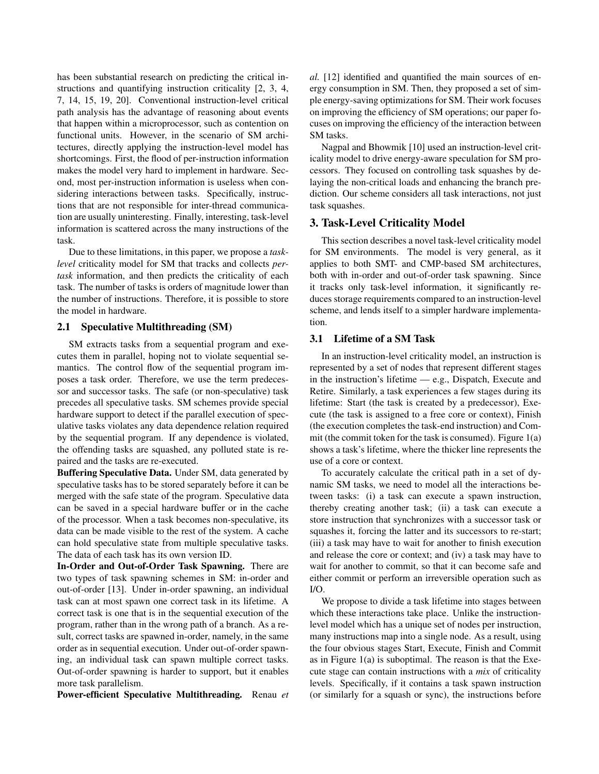has been substantial research on predicting the critical instructions and quantifying instruction criticality [2, 3, 4, 7, 14, 15, 19, 20]. Conventional instruction-level critical path analysis has the advantage of reasoning about events that happen within a microprocessor, such as contention on functional units. However, in the scenario of SM architectures, directly applying the instruction-level model has shortcomings. First, the flood of per-instruction information makes the model very hard to implement in hardware. Second, most per-instruction information is useless when considering interactions between tasks. Specifically, instructions that are not responsible for inter-thread communication are usually uninteresting. Finally, interesting, task-level information is scattered across the many instructions of the task.

Due to these limitations, in this paper, we propose a *tasklevel* criticality model for SM that tracks and collects *pertask* information, and then predicts the criticality of each task. The number of tasks is orders of magnitude lower than the number of instructions. Therefore, it is possible to store the model in hardware.

### 2.1 Speculative Multithreading (SM)

SM extracts tasks from a sequential program and executes them in parallel, hoping not to violate sequential semantics. The control flow of the sequential program imposes a task order. Therefore, we use the term predecessor and successor tasks. The safe (or non-speculative) task precedes all speculative tasks. SM schemes provide special hardware support to detect if the parallel execution of speculative tasks violates any data dependence relation required by the sequential program. If any dependence is violated, the offending tasks are squashed, any polluted state is repaired and the tasks are re-executed.

Buffering Speculative Data. Under SM, data generated by speculative tasks has to be stored separately before it can be merged with the safe state of the program. Speculative data can be saved in a special hardware buffer or in the cache of the processor. When a task becomes non-speculative, its data can be made visible to the rest of the system. A cache can hold speculative state from multiple speculative tasks. The data of each task has its own version ID.

In-Order and Out-of-Order Task Spawning. There are two types of task spawning schemes in SM: in-order and out-of-order [13]. Under in-order spawning, an individual task can at most spawn one correct task in its lifetime. A correct task is one that is in the sequential execution of the program, rather than in the wrong path of a branch. As a result, correct tasks are spawned in-order, namely, in the same order as in sequential execution. Under out-of-order spawning, an individual task can spawn multiple correct tasks. Out-of-order spawning is harder to support, but it enables more task parallelism.

Power-efficient Speculative Multithreading. Renau *et*

*al.* [12] identified and quantified the main sources of energy consumption in SM. Then, they proposed a set of simple energy-saving optimizations for SM. Their work focuses on improving the efficiency of SM operations; our paper focuses on improving the efficiency of the interaction between SM tasks.

Nagpal and Bhowmik [10] used an instruction-level criticality model to drive energy-aware speculation for SM processors. They focused on controlling task squashes by delaying the non-critical loads and enhancing the branch prediction. Our scheme considers all task interactions, not just task squashes.

### 3. Task-Level Criticality Model

This section describes a novel task-level criticality model for SM environments. The model is very general, as it applies to both SMT- and CMP-based SM architectures, both with in-order and out-of-order task spawning. Since it tracks only task-level information, it significantly reduces storage requirements compared to an instruction-level scheme, and lends itself to a simpler hardware implementation.

### 3.1 Lifetime of a SM Task

In an instruction-level criticality model, an instruction is represented by a set of nodes that represent different stages in the instruction's lifetime — e.g., Dispatch, Execute and Retire. Similarly, a task experiences a few stages during its lifetime: Start (the task is created by a predecessor), Execute (the task is assigned to a free core or context), Finish (the execution completes the task-end instruction) and Commit (the commit token for the task is consumed). Figure  $1(a)$ shows a task's lifetime, where the thicker line represents the use of a core or context.

To accurately calculate the critical path in a set of dynamic SM tasks, we need to model all the interactions between tasks: (i) a task can execute a spawn instruction, thereby creating another task; (ii) a task can execute a store instruction that synchronizes with a successor task or squashes it, forcing the latter and its successors to re-start; (iii) a task may have to wait for another to finish execution and release the core or context; and (iv) a task may have to wait for another to commit, so that it can become safe and either commit or perform an irreversible operation such as  $I/O$ .

We propose to divide a task lifetime into stages between which these interactions take place. Unlike the instructionlevel model which has a unique set of nodes per instruction, many instructions map into a single node. As a result, using the four obvious stages Start, Execute, Finish and Commit as in Figure 1(a) is suboptimal. The reason is that the Execute stage can contain instructions with a *mix* of criticality levels. Specifically, if it contains a task spawn instruction (or similarly for a squash or sync), the instructions before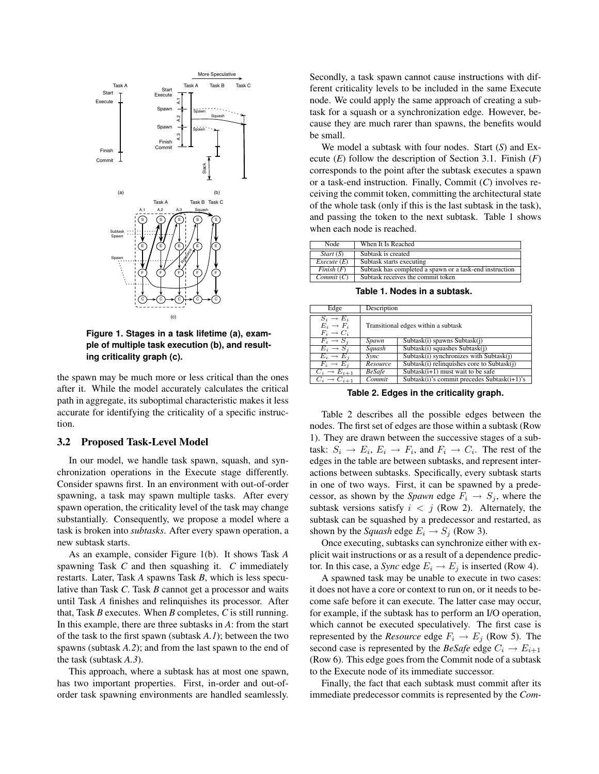

**Figure 1. Stages in a task lifetime (a), example of multiple task execution (b), and resulting criticality graph (c).**

the spawn may be much more or less critical than the ones after it. While the model accurately calculates the critical path in aggregate, its suboptimal characteristic makes it less accurate for identifying the criticality of a specific instruction.

#### 3.2 Proposed Task-Level Model

In our model, we handle task spawn, squash, and synchronization operations in the Execute stage differently. Consider spawns first. In an environment with out-of-order spawning, a task may spawn multiple tasks. After every spawn operation, the criticality level of the task may change substantially. Consequently, we propose a model where a task is broken into *subtasks*. After every spawn operation, a new subtask starts.

As an example, consider Figure 1(b). It shows Task *A* spawning Task *C* and then squashing it. *C* immediately restarts. Later, Task *A* spawns Task *B*, which is less speculative than Task *C*. Task *B* cannot get a processor and waits until Task *A* finishes and relinquishes its processor. After that, Task *B* executes. When *B* completes, *C* is still running. In this example, there are three subtasks in *A*: from the start of the task to the first spawn (subtask *A.1*); between the two spawns (subtask *A.2*); and from the last spawn to the end of the task (subtask *A.3*).

This approach, where a subtask has at most one spawn, has two important properties. First, in-order and out-oforder task spawning environments are handled seamlessly. Secondly, a task spawn cannot cause instructions with different criticality levels to be included in the same Execute node. We could apply the same approach of creating a subtask for a squash or a synchronization edge. However, because they are much rarer than spawns, the benefits would be small.

We model a subtask with four nodes. Start (*S*) and Execute (*E*) follow the description of Section 3.1. Finish (*F*) corresponds to the point after the subtask executes a spawn or a task-end instruction. Finally, Commit (*C*) involves receiving the commit token, committing the architectural state of the whole task (only if this is the last subtask in the task), and passing the token to the next subtask. Table 1 shows when each node is reached.

| Node            | When It Is Reached                                      |
|-----------------|---------------------------------------------------------|
|                 |                                                         |
| Start(S)        | Subtask is created                                      |
| Execute(E)      | Subtask starts executing                                |
| $F\$ {inish}(F) | Subtask has completed a spawn or a task-end instruction |
| Commit(C)       | Subtask receives the commit token                       |

**Table 1. Nodes in a subtask.**

| Edge                                                            | Description   |                                                     |
|-----------------------------------------------------------------|---------------|-----------------------------------------------------|
| $S_i \rightarrow E_i$<br>$E_i \rightarrow F_i$<br>$F_i \to C_i$ |               | Transitional edges within a subtask                 |
| $F_i \rightarrow S_i$                                           | Spawn         | Subtask(i) spawns Subtask(j)                        |
| $E_i \rightarrow S_i$                                           | Squash        | Subtask(i) squashes Subtask(j)                      |
| $E_i \rightarrow E_i$                                           | Sync          | Subtask(i) synchronizes with Subtask(j)             |
| $F_i \rightarrow E_i$                                           | Resource      | Subtask(i) relinquishes core to Subtask(i)          |
| $C_i \rightarrow E_{i+1}$                                       | <b>BeSafe</b> | Subtask $(i+1)$ must wait to be safe                |
| $C_i \rightarrow C_{i+1}$                                       | Commit        | Subtask $(i)$ 's commit precedes Subtask $(i+1)$ 's |
|                                                                 |               |                                                     |

**Table 2. Edges in the criticality graph.**

Table 2 describes all the possible edges between the nodes. The first set of edges are those within a subtask (Row 1). They are drawn between the successive stages of a subtask:  $S_i \rightarrow E_i$ ,  $E_i \rightarrow F_i$ , and  $F_i \rightarrow C_i$ . The rest of the edges in the table are between subtasks, and represent interactions between subtasks. Specifically, every subtask starts in one of two ways. First, it can be spawned by a predecessor, as shown by the *Spawn* edge  $F_i \rightarrow S_j$ , where the subtask versions satisfy  $i < j$  (Row 2). Alternately, the subtask can be squashed by a predecessor and restarted, as shown by the *Squash* edge  $E_i \rightarrow S_j$  (Row 3).

Once executing, subtasks can synchronize either with explicit wait instructions or as a result of a dependence predictor. In this case, a *Sync* edge  $E_i \rightarrow E_j$  is inserted (Row 4).

A spawned task may be unable to execute in two cases: it does not have a core or context to run on, or it needs to become safe before it can execute. The latter case may occur, for example, if the subtask has to perform an I/O operation, which cannot be executed speculatively. The first case is represented by the *Resource* edge  $F_i \rightarrow E_j$  (Row 5). The second case is represented by the *BeSafe* edge  $C_i \rightarrow E_{i+1}$ (Row 6). This edge goes from the Commit node of a subtask to the Execute node of its immediate successor.

Finally, the fact that each subtask must commit after its immediate predecessor commits is represented by the *Com-*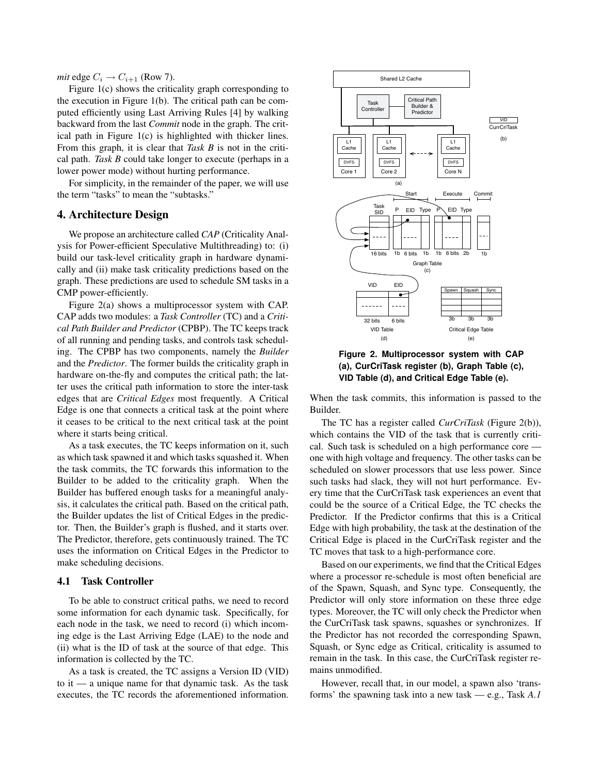*mit* edge  $C_i \rightarrow C_{i+1}$  (Row 7).

Figure 1(c) shows the criticality graph corresponding to the execution in Figure 1(b). The critical path can be computed efficiently using Last Arriving Rules [4] by walking backward from the last *Commit* node in the graph. The critical path in Figure 1(c) is highlighted with thicker lines. From this graph, it is clear that *Task B* is not in the critical path. *Task B* could take longer to execute (perhaps in a lower power mode) without hurting performance.

For simplicity, in the remainder of the paper, we will use the term "tasks" to mean the "subtasks."

# 4. Architecture Design

We propose an architecture called *CAP* (Criticality Analysis for Power-efficient Speculative Multithreading) to: (i) build our task-level criticality graph in hardware dynamically and (ii) make task criticality predictions based on the graph. These predictions are used to schedule SM tasks in a CMP power-efficiently.

Figure 2(a) shows a multiprocessor system with CAP. CAP adds two modules: a *Task Controller* (TC) and a *Critical Path Builder and Predictor* (CPBP). The TC keeps track of all running and pending tasks, and controls task scheduling. The CPBP has two components, namely the *Builder* and the *Predictor*. The former builds the criticality graph in hardware on-the-fly and computes the critical path; the latter uses the critical path information to store the inter-task edges that are *Critical Edges* most frequently. A Critical Edge is one that connects a critical task at the point where it ceases to be critical to the next critical task at the point where it starts being critical.

As a task executes, the TC keeps information on it, such as which task spawned it and which tasks squashed it. When the task commits, the TC forwards this information to the Builder to be added to the criticality graph. When the Builder has buffered enough tasks for a meaningful analysis, it calculates the critical path. Based on the critical path, the Builder updates the list of Critical Edges in the predictor. Then, the Builder's graph is flushed, and it starts over. The Predictor, therefore, gets continuously trained. The TC uses the information on Critical Edges in the Predictor to make scheduling decisions.

#### 4.1 Task Controller

To be able to construct critical paths, we need to record some information for each dynamic task. Specifically, for each node in the task, we need to record (i) which incoming edge is the Last Arriving Edge (LAE) to the node and (ii) what is the ID of task at the source of that edge. This information is collected by the TC.

As a task is created, the TC assigns a Version ID (VID) to it — a unique name for that dynamic task. As the task executes, the TC records the aforementioned information.



**Figure 2. Multiprocessor system with CAP (a), CurCriTask register (b), Graph Table (c), VID Table (d), and Critical Edge Table (e).**

When the task commits, this information is passed to the Builder.

The TC has a register called *CurCriTask* (Figure 2(b)), which contains the VID of the task that is currently critical. Such task is scheduled on a high performance core one with high voltage and frequency. The other tasks can be scheduled on slower processors that use less power. Since such tasks had slack, they will not hurt performance. Every time that the CurCriTask task experiences an event that could be the source of a Critical Edge, the TC checks the Predictor. If the Predictor confirms that this is a Critical Edge with high probability, the task at the destination of the Critical Edge is placed in the CurCriTask register and the TC moves that task to a high-performance core.

Based on our experiments, we find that the Critical Edges where a processor re-schedule is most often beneficial are of the Spawn, Squash, and Sync type. Consequently, the Predictor will only store information on these three edge types. Moreover, the TC will only check the Predictor when the CurCriTask task spawns, squashes or synchronizes. If the Predictor has not recorded the corresponding Spawn, Squash, or Sync edge as Critical, criticality is assumed to remain in the task. In this case, the CurCriTask register remains unmodified.

However, recall that, in our model, a spawn also 'transforms' the spawning task into a new task — e.g., Task *A.1*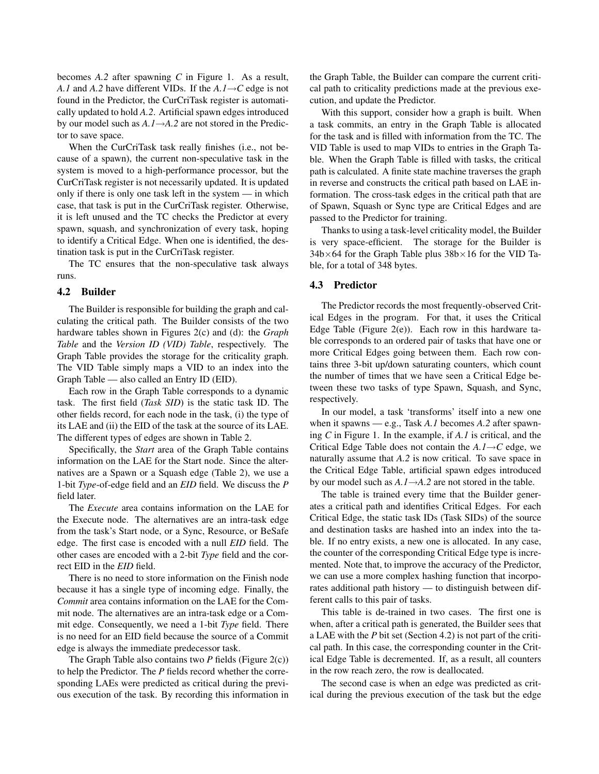becomes *A.2* after spawning *C* in Figure 1. As a result, *A.1* and *A.2* have different VIDs. If the *A.1*→*C* edge is not found in the Predictor, the CurCriTask register is automatically updated to hold *A.2*. Artificial spawn edges introduced by our model such as *A.1*→*A.2* are not stored in the Predictor to save space.

When the CurCriTask task really finishes (i.e., not because of a spawn), the current non-speculative task in the system is moved to a high-performance processor, but the CurCriTask register is not necessarily updated. It is updated only if there is only one task left in the system — in which case, that task is put in the CurCriTask register. Otherwise, it is left unused and the TC checks the Predictor at every spawn, squash, and synchronization of every task, hoping to identify a Critical Edge. When one is identified, the destination task is put in the CurCriTask register.

The TC ensures that the non-speculative task always runs.

#### 4.2 Builder

The Builder is responsible for building the graph and calculating the critical path. The Builder consists of the two hardware tables shown in Figures 2(c) and (d): the *Graph Table* and the *Version ID (VID) Table*, respectively. The Graph Table provides the storage for the criticality graph. The VID Table simply maps a VID to an index into the Graph Table — also called an Entry ID (EID).

Each row in the Graph Table corresponds to a dynamic task. The first field (*Task SID*) is the static task ID. The other fields record, for each node in the task, (i) the type of its LAE and (ii) the EID of the task at the source of its LAE. The different types of edges are shown in Table 2.

Specifically, the *Start* area of the Graph Table contains information on the LAE for the Start node. Since the alternatives are a Spawn or a Squash edge (Table 2), we use a 1-bit *Type*-of-edge field and an *EID* field. We discuss the *P* field later.

The *Execute* area contains information on the LAE for the Execute node. The alternatives are an intra-task edge from the task's Start node, or a Sync, Resource, or BeSafe edge. The first case is encoded with a null *EID* field. The other cases are encoded with a 2-bit *Type* field and the correct EID in the *EID* field.

There is no need to store information on the Finish node because it has a single type of incoming edge. Finally, the *Commit* area contains information on the LAE for the Commit node. The alternatives are an intra-task edge or a Commit edge. Consequently, we need a 1-bit *Type* field. There is no need for an EID field because the source of a Commit edge is always the immediate predecessor task.

The Graph Table also contains two *P* fields (Figure 2(c)) to help the Predictor. The *P* fields record whether the corresponding LAEs were predicted as critical during the previous execution of the task. By recording this information in the Graph Table, the Builder can compare the current critical path to criticality predictions made at the previous execution, and update the Predictor.

With this support, consider how a graph is built. When a task commits, an entry in the Graph Table is allocated for the task and is filled with information from the TC. The VID Table is used to map VIDs to entries in the Graph Table. When the Graph Table is filled with tasks, the critical path is calculated. A finite state machine traverses the graph in reverse and constructs the critical path based on LAE information. The cross-task edges in the critical path that are of Spawn, Squash or Sync type are Critical Edges and are passed to the Predictor for training.

Thanks to using a task-level criticality model, the Builder is very space-efficient. The storage for the Builder is  $34b \times 64$  for the Graph Table plus  $38b \times 16$  for the VID Table, for a total of 348 bytes.

# 4.3 Predictor

The Predictor records the most frequently-observed Critical Edges in the program. For that, it uses the Critical Edge Table (Figure 2(e)). Each row in this hardware table corresponds to an ordered pair of tasks that have one or more Critical Edges going between them. Each row contains three 3-bit up/down saturating counters, which count the number of times that we have seen a Critical Edge between these two tasks of type Spawn, Squash, and Sync, respectively.

In our model, a task 'transforms' itself into a new one when it spawns — e.g., Task *A.1* becomes *A.2* after spawning *C* in Figure 1. In the example, if *A.1* is critical, and the Critical Edge Table does not contain the  $A \cdot I \rightarrow C$  edge, we naturally assume that *A.2* is now critical. To save space in the Critical Edge Table, artificial spawn edges introduced by our model such as *A.1*→*A.2* are not stored in the table.

The table is trained every time that the Builder generates a critical path and identifies Critical Edges. For each Critical Edge, the static task IDs (Task SIDs) of the source and destination tasks are hashed into an index into the table. If no entry exists, a new one is allocated. In any case, the counter of the corresponding Critical Edge type is incremented. Note that, to improve the accuracy of the Predictor, we can use a more complex hashing function that incorporates additional path history — to distinguish between different calls to this pair of tasks.

This table is de-trained in two cases. The first one is when, after a critical path is generated, the Builder sees that a LAE with the *P* bit set (Section 4.2) is not part of the critical path. In this case, the corresponding counter in the Critical Edge Table is decremented. If, as a result, all counters in the row reach zero, the row is deallocated.

The second case is when an edge was predicted as critical during the previous execution of the task but the edge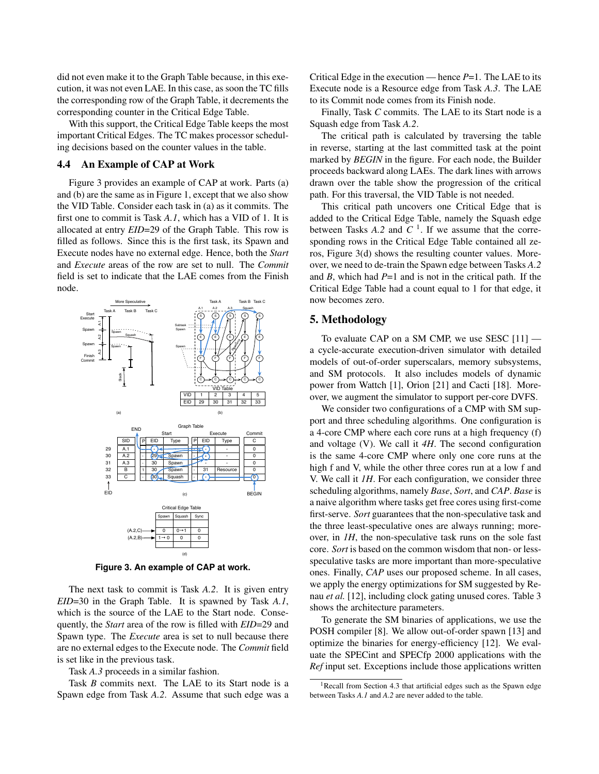did not even make it to the Graph Table because, in this execution, it was not even LAE. In this case, as soon the TC fills the corresponding row of the Graph Table, it decrements the corresponding counter in the Critical Edge Table.

With this support, the Critical Edge Table keeps the most important Critical Edges. The TC makes processor scheduling decisions based on the counter values in the table.

### 4.4 An Example of CAP at Work

Figure 3 provides an example of CAP at work. Parts (a) and (b) are the same as in Figure 1, except that we also show the VID Table. Consider each task in (a) as it commits. The first one to commit is Task *A.1*, which has a VID of 1. It is allocated at entry *EID*=29 of the Graph Table. This row is filled as follows. Since this is the first task, its Spawn and Execute nodes have no external edge. Hence, both the *Start* and *Execute* areas of the row are set to null. The *Commit* field is set to indicate that the LAE comes from the Finish node.



**Figure 3. An example of CAP at work.**

The next task to commit is Task *A.2*. It is given entry *EID*=30 in the Graph Table. It is spawned by Task *A.1*, which is the source of the LAE to the Start node. Consequently, the *Start* area of the row is filled with *EID*=29 and Spawn type. The *Execute* area is set to null because there are no external edges to the Execute node. The *Commit* field is set like in the previous task.

Task *A.3* proceeds in a similar fashion.

Task *B* commits next. The LAE to its Start node is a Spawn edge from Task *A.2*. Assume that such edge was a Critical Edge in the execution — hence *P*=1. The LAE to its Execute node is a Resource edge from Task *A.3*. The LAE to its Commit node comes from its Finish node.

Finally, Task *C* commits. The LAE to its Start node is a Squash edge from Task *A.2*.

The critical path is calculated by traversing the table in reverse, starting at the last committed task at the point marked by *BEGIN* in the figure. For each node, the Builder proceeds backward along LAEs. The dark lines with arrows drawn over the table show the progression of the critical path. For this traversal, the VID Table is not needed.

This critical path uncovers one Critical Edge that is added to the Critical Edge Table, namely the Squash edge between Tasks  $A.2$  and  $C<sup>1</sup>$ . If we assume that the corresponding rows in the Critical Edge Table contained all zeros, Figure 3(d) shows the resulting counter values. Moreover, we need to de-train the Spawn edge between Tasks *A.2* and *B*, which had *P*=1 and is not in the critical path. If the Critical Edge Table had a count equal to 1 for that edge, it now becomes zero.

#### 5. Methodology

To evaluate CAP on a SM CMP, we use SESC [11] a cycle-accurate execution-driven simulator with detailed models of out-of-order superscalars, memory subsystems, and SM protocols. It also includes models of dynamic power from Wattch [1], Orion [21] and Cacti [18]. Moreover, we augment the simulator to support per-core DVFS.

We consider two configurations of a CMP with SM support and three scheduling algorithms. One configuration is a 4-core CMP where each core runs at a high frequency (f) and voltage (V). We call it *4H*. The second configuration is the same 4-core CMP where only one core runs at the high f and V, while the other three cores run at a low f and V. We call it *1H*. For each configuration, we consider three scheduling algorithms, namely *Base*, *Sort*, and *CAP*. *Base* is a naive algorithm where tasks get free cores using first-come first-serve. *Sort* guarantees that the non-speculative task and the three least-speculative ones are always running; moreover, in *1H*, the non-speculative task runs on the sole fast core. *Sort* is based on the common wisdom that non- or lessspeculative tasks are more important than more-speculative ones. Finally, *CAP* uses our proposed scheme. In all cases, we apply the energy optimizations for SM suggested by Renau *et al.* [12], including clock gating unused cores. Table 3 shows the architecture parameters.

To generate the SM binaries of applications, we use the POSH compiler [8]. We allow out-of-order spawn [13] and optimize the binaries for energy-efficiency [12]. We evaluate the SPECint and SPECfp 2000 applications with the *Ref* input set. Exceptions include those applications written

<sup>&</sup>lt;sup>1</sup>Recall from Section 4.3 that artificial edges such as the Spawn edge between Tasks *A.1* and *A.2* are never added to the table.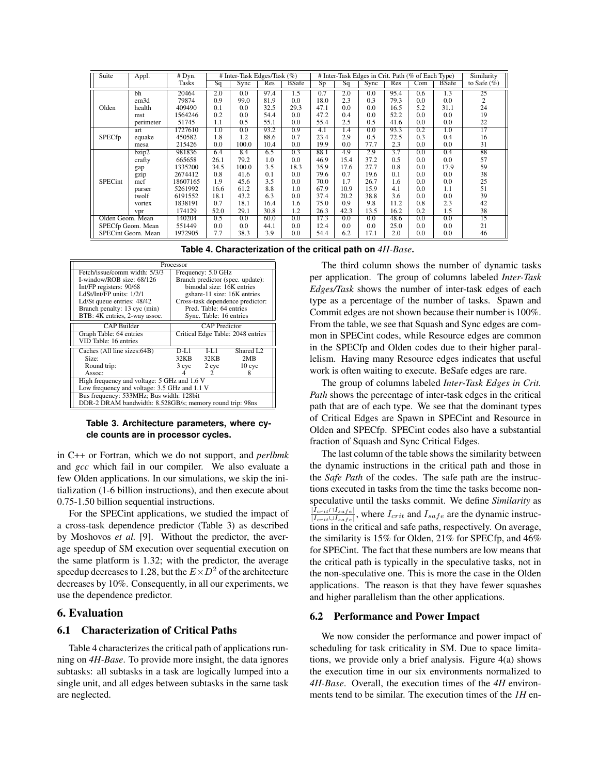| Suite            | Appl.              | # Dyn.   | # Inter-Task Edges/Task $(\%)$ |       |      | # Inter-Task Edges in Crit. Path (% of Each Type) |      |      |      |            |     | Similarity   |                 |
|------------------|--------------------|----------|--------------------------------|-------|------|---------------------------------------------------|------|------|------|------------|-----|--------------|-----------------|
|                  |                    | Tasks    | $\overline{Sq}$                | Sync  | Res  | <b>BSafe</b>                                      | Sp   | Sq   | Sync | <b>Res</b> | Com | <b>BSafe</b> | to Safe $(\%)$  |
|                  | bh                 | 20464    | 2.0                            | 0.0   | 97.4 | 1.5                                               | 0.7  | 2.0  | 0.0  | 95.4       | 0.6 | 1.3          | 25              |
|                  | em <sub>3d</sub>   | 79874    | 0.9                            | 99.0  | 81.9 | 0.0                                               | 18.0 | 2.3  | 0.3  | 79.3       | 0.0 | 0.0          | $\overline{c}$  |
| Olden            | health             | 409490   | 0.1                            | 0.0   | 32.5 | 29.3                                              | 47.1 | 0.0  | 0.0  | 16.5       | 5.2 | 31.1         | 24              |
|                  | mst                | 1564246  | 0.2                            | 0.0   | 54.4 | 0.0                                               | 47.2 | 0.4  | 0.0  | 52.2       | 0.0 | 0.0          | 19              |
|                  | perimeter          | 51745    | 1.1                            | 0.5   | 55.1 | 0.0                                               | 55.4 | 2.5  | 0.5  | 41.6       | 0.0 | 0.0          | 22              |
|                  | art.               | 1727610  | $\overline{1.0}$               | 0.0   | 93.2 | 0.9                                               | 4.1  | 1.4  | 0.0  | 93.3       | 0.2 | 1.0          | $\overline{17}$ |
| SPECfp           | equake             | 450582   | 1.8                            | 1.2   | 88.6 | 0.7                                               | 23.4 | 2.9  | 0.5  | 72.5       | 0.3 | 0.4          | 16              |
|                  | mesa               | 215426   | 0.0                            | 100.0 | 10.4 | 0.0                                               | 19.9 | 0.0  | 77.7 | 2.3        | 0.0 | 0.0          | 31              |
|                  | bzip2              | 981836   | 6.4                            | 8.4   | 6.5  | 0.3                                               | 88.1 | 4.9  | 2.9  | 3.7        | 0.0 | 0.4          | 88              |
|                  | crafty             | 665658   | 26.1                           | 79.2  | 1.0  | 0.0                                               | 46.9 | 15.4 | 37.2 | 0.5        | 0.0 | 0.0          | 57              |
|                  | gap                | 1335200  | 34.5                           | 100.0 | 3.5  | 18.3                                              | 35.9 | 17.6 | 27.7 | 0.8        | 0.0 | 17.9         | 59              |
|                  | gzip               | 2674412  | 0.8                            | 41.6  | 0.1  | 0.0                                               | 79.6 | 0.7  | 19.6 | 0.1        | 0.0 | 0.0          | 38              |
| <b>SPECint</b>   | mcf                | 18607165 | 1.9                            | 45.6  | 3.5  | 0.0                                               | 70.0 | 1.7  | 26.7 | 1.6        | 0.0 | 0.0          | 25              |
|                  | parser             | 5261992  | 16.6                           | 61.2  | 8.8  | 1.0                                               | 67.9 | 10.9 | 15.9 | 4.1        | 0.0 | 1.1          | 51              |
|                  | twolf              | 6191552  | 18.1                           | 43.2  | 6.3  | 0.0                                               | 37.4 | 20.2 | 38.8 | 3.6        | 0.0 | 0.0          | 39              |
|                  | vortex             | 1838191  | 0.7                            | 18.1  | 16.4 | 1.6                                               | 75.0 | 0.9  | 9.8  | 11.2       | 0.8 | 2.3          | 42              |
|                  | vpr                | 174129   | 52.0                           | 29.1  | 30.8 | 1.2                                               | 26.3 | 42.3 | 13.5 | 16.2       | 0.2 | 1.5          | 38              |
| Olden Geom. Mean |                    | 140204   | 0.5                            | 0.0   | 60.0 | 0.0                                               | 17.3 | 0.0  | 0.0  | 48.6       | 0.0 | 0.0          | 15              |
|                  | SPECfp Geom. Mean  | 551449   | 0.0                            | 0.0   | 44.1 | 0.0                                               | 12.4 | 0.0  | 0.0  | 25.0       | 0.0 | 0.0          | 21              |
|                  | SPECint Geom. Mean | 1972905  | 7.7                            | 38.3  | 3.9  | 0.0                                               | 54.4 | 6.2  | 17.1 | 2.0        | 0.0 | 0.0          | 46              |

**Table 4. Characterization of the critical path on** *4H-Base***.**

| Processor                                                |                                   |           |                   |  |  |  |  |
|----------------------------------------------------------|-----------------------------------|-----------|-------------------|--|--|--|--|
| Fetch/issue/comm width: 5/3/3                            | Frequency: 5.0 GHz                |           |                   |  |  |  |  |
| L-window/ROB size: 68/126                                | Branch predictor (spec. update):  |           |                   |  |  |  |  |
| Int/FP registers: 90/68                                  | bimodal size: 16K entries         |           |                   |  |  |  |  |
| LdSt/Int/FP units: 1/2/1                                 | gshare-11 size: 16K entries       |           |                   |  |  |  |  |
| Ld/St queue entries: 48/42                               | Cross-task dependence predictor:  |           |                   |  |  |  |  |
| Pred. Table: 64 entries<br>Branch penalty: 13 cyc (min)  |                                   |           |                   |  |  |  |  |
| BTB: 4K entries, 2-way assoc.                            | Sync. Table: 16 entries           |           |                   |  |  |  |  |
| <b>CAP</b> Predictor<br>CAP Builder                      |                                   |           |                   |  |  |  |  |
| Graph Table: 64 entries                                  | Critical Edge Table: 2048 entries |           |                   |  |  |  |  |
| VID Table: 16 entries                                    |                                   |           |                   |  |  |  |  |
| Caches (All line sizes:64B)                              | $D - L1$                          | L1.1      | Shared J.2        |  |  |  |  |
| Size:                                                    |                                   | 32KB 32KB | 2MB               |  |  |  |  |
| Round trip:                                              | 3 <sub>cvc</sub>                  | 2 cyc     | 10 <sub>cvc</sub> |  |  |  |  |
| Assoc:                                                   |                                   |           | x                 |  |  |  |  |
| High frequency and voltage: 5 GHz and 1.6 V              |                                   |           |                   |  |  |  |  |
| Low frequency and voltage: 3.5 GHz and 1.1 V             |                                   |           |                   |  |  |  |  |
| Bus frequency: 533MHz; Bus width: 128bit                 |                                   |           |                   |  |  |  |  |
| DDR-2 DRAM bandwidth: 8.528GB/s; memory round trip: 98ns |                                   |           |                   |  |  |  |  |

### **Table 3. Architecture parameters, where cycle counts are in processor cycles.**

in C++ or Fortran, which we do not support, and *perlbmk* and *gcc* which fail in our compiler. We also evaluate a few Olden applications. In our simulations, we skip the initialization (1-6 billion instructions), and then execute about 0.75-1.50 billion sequential instructions.

For the SPECint applications, we studied the impact of a cross-task dependence predictor (Table 3) as described by Moshovos *et al.* [9]. Without the predictor, the average speedup of SM execution over sequential execution on the same platform is 1.32; with the predictor, the average speedup decreases to 1.28, but the  $E \times D^2$  of the architecture decreases by 10%. Consequently, in all our experiments, we use the dependence predictor.

# 6. Evaluation

### 6.1 Characterization of Critical Paths

Table 4 characterizes the critical path of applications running on *4H-Base*. To provide more insight, the data ignores subtasks: all subtasks in a task are logically lumped into a single unit, and all edges between subtasks in the same task are neglected.

The third column shows the number of dynamic tasks per application. The group of columns labeled *Inter-Task Edges/Task* shows the number of inter-task edges of each type as a percentage of the number of tasks. Spawn and Commit edges are not shown because their number is 100%. From the table, we see that Squash and Sync edges are common in SPECint codes, while Resource edges are common in the SPECfp and Olden codes due to their higher parallelism. Having many Resource edges indicates that useful work is often waiting to execute. BeSafe edges are rare.

The group of columns labeled *Inter-Task Edges in Crit. Path* shows the percentage of inter-task edges in the critical path that are of each type. We see that the dominant types of Critical Edges are Spawn in SPECint and Resource in Olden and SPECfp. SPECint codes also have a substantial fraction of Squash and Sync Critical Edges.

The last column of the table shows the similarity between the dynamic instructions in the critical path and those in the *Safe Path* of the codes. The safe path are the instructions executed in tasks from the time the tasks become nonspeculative until the tasks commit. We define *Similarity* as  $|I_{crit} \cap I_{safe}|$  $\frac{|I_{crit}||I_{safe}|}{|I_{crit} \cup I_{safe}|}$ , where  $I_{crit}$  and  $I_{safe}$  are the dynamic instructions in the critical and safe paths, respectively. On average, the similarity is 15% for Olden, 21% for SPECfp, and 46% for SPECint. The fact that these numbers are low means that the critical path is typically in the speculative tasks, not in the non-speculative one. This is more the case in the Olden applications. The reason is that they have fewer squashes and higher parallelism than the other applications.

### 6.2 Performance and Power Impact

We now consider the performance and power impact of scheduling for task criticality in SM. Due to space limitations, we provide only a brief analysis. Figure 4(a) shows the execution time in our six environments normalized to *4H-Base*. Overall, the execution times of the *4H* environments tend to be similar. The execution times of the *1H* en-